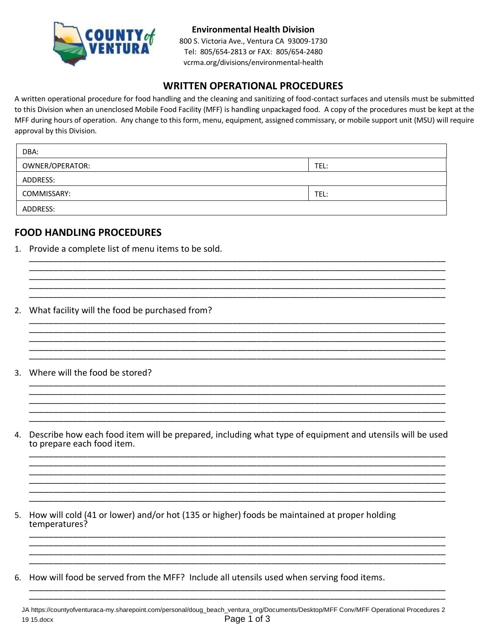

### **Environmental Health Division**

800 S. Victoria Ave., Ventura CA 93009-1730 Tel: 805/654-2813 or FAX: 805/654-2480 vcrma.org/divisions/environmental-health

## **WRITTEN OPERATIONAL PROCEDURES**

A written operational procedure for food handling and the cleaning and sanitizing of food-contact surfaces and utensils must be submitted to this Division when an unenclosed Mobile Food Facility (MFF) is handling unpackaged food. A copy of the procedures must be kept at the MFF during hours of operation. Any change to this form, menu, equipment, assigned commissary, or mobile support unit (MSU) will require approval by this Division.

| DBA:            |      |
|-----------------|------|
| OWNER/OPERATOR: | TEL: |
| ADDRESS:        |      |
| COMMISSARY:     | TEL: |
| ADDRESS:        |      |

\_\_\_\_\_\_\_\_\_\_\_\_\_\_\_\_\_\_\_\_\_\_\_\_\_\_\_\_\_\_\_\_\_\_\_\_\_\_\_\_\_\_\_\_\_\_\_\_\_\_\_\_\_\_\_\_\_\_\_\_\_\_\_\_\_\_\_\_\_\_\_\_\_\_\_\_\_\_\_\_\_\_\_\_\_\_ \_\_\_\_\_\_\_\_\_\_\_\_\_\_\_\_\_\_\_\_\_\_\_\_\_\_\_\_\_\_\_\_\_\_\_\_\_\_\_\_\_\_\_\_\_\_\_\_\_\_\_\_\_\_\_\_\_\_\_\_\_\_\_\_\_\_\_\_\_\_\_\_\_\_\_\_\_\_\_\_\_\_\_\_\_\_ \_\_\_\_\_\_\_\_\_\_\_\_\_\_\_\_\_\_\_\_\_\_\_\_\_\_\_\_\_\_\_\_\_\_\_\_\_\_\_\_\_\_\_\_\_\_\_\_\_\_\_\_\_\_\_\_\_\_\_\_\_\_\_\_\_\_\_\_\_\_\_\_\_\_\_\_\_\_\_\_\_\_\_\_\_\_ \_\_\_\_\_\_\_\_\_\_\_\_\_\_\_\_\_\_\_\_\_\_\_\_\_\_\_\_\_\_\_\_\_\_\_\_\_\_\_\_\_\_\_\_\_\_\_\_\_\_\_\_\_\_\_\_\_\_\_\_\_\_\_\_\_\_\_\_\_\_\_\_\_\_\_\_\_\_\_\_\_\_\_\_\_\_

\_\_\_\_\_\_\_\_\_\_\_\_\_\_\_\_\_\_\_\_\_\_\_\_\_\_\_\_\_\_\_\_\_\_\_\_\_\_\_\_\_\_\_\_\_\_\_\_\_\_\_\_\_\_\_\_\_\_\_\_\_\_\_\_\_\_\_\_\_\_\_\_\_\_\_\_\_\_\_\_\_\_\_\_\_\_ \_\_\_\_\_\_\_\_\_\_\_\_\_\_\_\_\_\_\_\_\_\_\_\_\_\_\_\_\_\_\_\_\_\_\_\_\_\_\_\_\_\_\_\_\_\_\_\_\_\_\_\_\_\_\_\_\_\_\_\_\_\_\_\_\_\_\_\_\_\_\_\_\_\_\_\_\_\_\_\_\_\_\_\_\_\_ \_\_\_\_\_\_\_\_\_\_\_\_\_\_\_\_\_\_\_\_\_\_\_\_\_\_\_\_\_\_\_\_\_\_\_\_\_\_\_\_\_\_\_\_\_\_\_\_\_\_\_\_\_\_\_\_\_\_\_\_\_\_\_\_\_\_\_\_\_\_\_\_\_\_\_\_\_\_\_\_\_\_\_\_\_\_ \_\_\_\_\_\_\_\_\_\_\_\_\_\_\_\_\_\_\_\_\_\_\_\_\_\_\_\_\_\_\_\_\_\_\_\_\_\_\_\_\_\_\_\_\_\_\_\_\_\_\_\_\_\_\_\_\_\_\_\_\_\_\_\_\_\_\_\_\_\_\_\_\_\_\_\_\_\_\_\_\_\_\_\_\_\_

\_\_\_\_\_\_\_\_\_\_\_\_\_\_\_\_\_\_\_\_\_\_\_\_\_\_\_\_\_\_\_\_\_\_\_\_\_\_\_\_\_\_\_\_\_\_\_\_\_\_\_\_\_\_\_\_\_\_\_\_\_\_\_\_\_\_\_\_\_\_\_\_\_\_\_\_\_\_\_\_\_\_\_\_\_\_ \_\_\_\_\_\_\_\_\_\_\_\_\_\_\_\_\_\_\_\_\_\_\_\_\_\_\_\_\_\_\_\_\_\_\_\_\_\_\_\_\_\_\_\_\_\_\_\_\_\_\_\_\_\_\_\_\_\_\_\_\_\_\_\_\_\_\_\_\_\_\_\_\_\_\_\_\_\_\_\_\_\_\_\_\_\_ \_\_\_\_\_\_\_\_\_\_\_\_\_\_\_\_\_\_\_\_\_\_\_\_\_\_\_\_\_\_\_\_\_\_\_\_\_\_\_\_\_\_\_\_\_\_\_\_\_\_\_\_\_\_\_\_\_\_\_\_\_\_\_\_\_\_\_\_\_\_\_\_\_\_\_\_\_\_\_\_\_\_\_\_\_\_ \_\_\_\_\_\_\_\_\_\_\_\_\_\_\_\_\_\_\_\_\_\_\_\_\_\_\_\_\_\_\_\_\_\_\_\_\_\_\_\_\_\_\_\_\_\_\_\_\_\_\_\_\_\_\_\_\_\_\_\_\_\_\_\_\_\_\_\_\_\_\_\_\_\_\_\_\_\_\_\_\_\_\_\_\_\_ \_\_\_\_\_\_\_\_\_\_\_\_\_\_\_\_\_\_\_\_\_\_\_\_\_\_\_\_\_\_\_\_\_\_\_\_\_\_\_\_\_\_\_\_\_\_\_\_\_\_\_\_\_\_\_\_\_\_\_\_\_\_\_\_\_\_\_\_\_\_\_\_\_\_\_\_\_\_\_\_\_\_\_\_\_\_

### **FOOD HANDLING PROCEDURES**

- 1. Provide a complete list of menu items to be sold. \_\_\_\_\_\_\_\_\_\_\_\_\_\_\_\_\_\_\_\_\_\_\_\_\_\_\_\_\_\_\_\_\_\_\_\_\_\_\_\_\_\_\_\_\_\_\_\_\_\_\_\_\_\_\_\_\_\_\_\_\_\_\_\_\_\_\_\_\_\_\_\_\_\_\_\_\_\_\_\_\_\_\_\_\_\_
- 2. What facility will the food be purchased from? \_\_\_\_\_\_\_\_\_\_\_\_\_\_\_\_\_\_\_\_\_\_\_\_\_\_\_\_\_\_\_\_\_\_\_\_\_\_\_\_\_\_\_\_\_\_\_\_\_\_\_\_\_\_\_\_\_\_\_\_\_\_\_\_\_\_\_\_\_\_\_\_\_\_\_\_\_\_\_\_\_\_\_\_\_\_
- 3. Where will the food be stored?
- 4. Describe how each food item will be prepared, including what type of equipment and utensils will be used to prepare each food item. \_\_\_\_\_\_\_\_\_\_\_\_\_\_\_\_\_\_\_\_\_\_\_\_\_\_\_\_\_\_\_\_\_\_\_\_\_\_\_\_\_\_\_\_\_\_\_\_\_\_\_\_\_\_\_\_\_\_\_\_\_\_\_\_\_\_\_\_\_\_\_\_\_\_\_\_\_\_\_\_\_\_\_\_\_\_

\_\_\_\_\_\_\_\_\_\_\_\_\_\_\_\_\_\_\_\_\_\_\_\_\_\_\_\_\_\_\_\_\_\_\_\_\_\_\_\_\_\_\_\_\_\_\_\_\_\_\_\_\_\_\_\_\_\_\_\_\_\_\_\_\_\_\_\_\_\_\_\_\_\_\_\_\_\_\_\_\_\_\_\_\_\_ \_\_\_\_\_\_\_\_\_\_\_\_\_\_\_\_\_\_\_\_\_\_\_\_\_\_\_\_\_\_\_\_\_\_\_\_\_\_\_\_\_\_\_\_\_\_\_\_\_\_\_\_\_\_\_\_\_\_\_\_\_\_\_\_\_\_\_\_\_\_\_\_\_\_\_\_\_\_\_\_\_\_\_\_\_\_ \_\_\_\_\_\_\_\_\_\_\_\_\_\_\_\_\_\_\_\_\_\_\_\_\_\_\_\_\_\_\_\_\_\_\_\_\_\_\_\_\_\_\_\_\_\_\_\_\_\_\_\_\_\_\_\_\_\_\_\_\_\_\_\_\_\_\_\_\_\_\_\_\_\_\_\_\_\_\_\_\_\_\_\_\_\_

\_\_\_\_\_\_\_\_\_\_\_\_\_\_\_\_\_\_\_\_\_\_\_\_\_\_\_\_\_\_\_\_\_\_\_\_\_\_\_\_\_\_\_\_\_\_\_\_\_\_\_\_\_\_\_\_\_\_\_\_\_\_\_\_\_\_\_\_\_\_\_\_\_\_\_\_\_\_\_\_\_\_\_\_\_\_

\_\_\_\_\_\_\_\_\_\_\_\_\_\_\_\_\_\_\_\_\_\_\_\_\_\_\_\_\_\_\_\_\_\_\_\_\_\_\_\_\_\_\_\_\_\_\_\_\_\_\_\_\_\_\_\_\_\_\_\_\_\_\_\_\_\_\_\_\_\_\_\_\_\_\_\_\_\_\_\_\_\_\_\_\_\_ \_\_\_\_\_\_\_\_\_\_\_\_\_\_\_\_\_\_\_\_\_\_\_\_\_\_\_\_\_\_\_\_\_\_\_\_\_\_\_\_\_\_\_\_\_\_\_\_\_\_\_\_\_\_\_\_\_\_\_\_\_\_\_\_\_\_\_\_\_\_\_\_\_\_\_\_\_\_\_\_\_\_\_\_\_\_ \_\_\_\_\_\_\_\_\_\_\_\_\_\_\_\_\_\_\_\_\_\_\_\_\_\_\_\_\_\_\_\_\_\_\_\_\_\_\_\_\_\_\_\_\_\_\_\_\_\_\_\_\_\_\_\_\_\_\_\_\_\_\_\_\_\_\_\_\_\_\_\_\_\_\_\_\_\_\_\_\_\_\_\_\_\_

- 5. How will cold (41 or lower) and/or hot (135 or higher) foods be maintained at proper holding temperatures? \_\_\_\_\_\_\_\_\_\_\_\_\_\_\_\_\_\_\_\_\_\_\_\_\_\_\_\_\_\_\_\_\_\_\_\_\_\_\_\_\_\_\_\_\_\_\_\_\_\_\_\_\_\_\_\_\_\_\_\_\_\_\_\_\_\_\_\_\_\_\_\_\_\_\_\_\_\_\_\_\_\_\_\_\_\_
- 6. How will food be served from the MFF? Include all utensils used when serving food items. \_\_\_\_\_\_\_\_\_\_\_\_\_\_\_\_\_\_\_\_\_\_\_\_\_\_\_\_\_\_\_\_\_\_\_\_\_\_\_\_\_\_\_\_\_\_\_\_\_\_\_\_\_\_\_\_\_\_\_\_\_\_\_\_\_\_\_\_\_\_\_\_\_\_\_\_\_\_\_\_\_\_\_\_\_\_

\_\_\_\_\_\_\_\_\_\_\_\_\_\_\_\_\_\_\_\_\_\_\_\_\_\_\_\_\_\_\_\_\_\_\_\_\_\_\_\_\_\_\_\_\_\_\_\_\_\_\_\_\_\_\_\_\_\_\_\_\_\_\_\_\_\_\_\_\_\_\_\_\_\_\_\_\_\_\_\_\_\_\_\_\_\_

JA https://countyofventuraca-my.sharepoint.com/personal/doug\_beach\_ventura\_org/Documents/Desktop/MFF Conv/MFF Operational Procedures 2 19 15.docx Page 1 of 3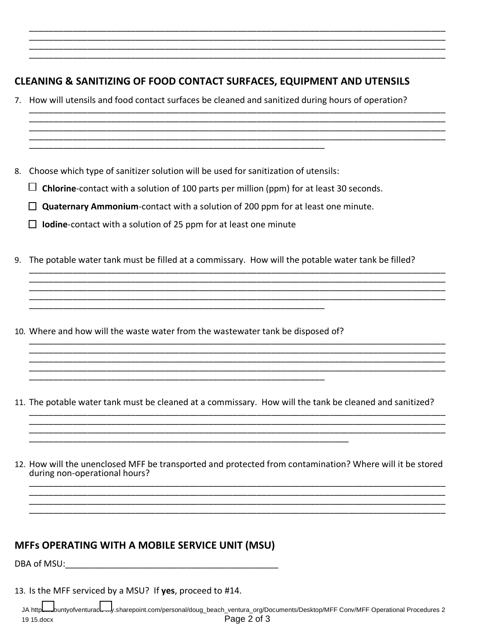# **CLEANING & SANITIZING OF FOOD CONTACT SURFACES, EQUIPMENT AND UTENSILS**

- 7. How will utensils and food contact surfaces be cleaned and sanitized during hours of operation?
- 8. Choose which type of sanitizer solution will be used for sanitization of utensils:
	- $\Box$  Chlorine-contact with a solution of 100 parts per million (ppm) for at least 30 seconds.

- $\Box$  Quaternary Ammonium-contact with a solution of 200 ppm for at least one minute.
- $\Box$  lodine-contact with a solution of 25 ppm for at least one minute
- 9. The potable water tank must be filled at a commissary. How will the potable water tank be filled?
- 10. Where and how will the waste water from the wastewater tank be disposed of?
- 11. The potable water tank must be cleaned at a commissary. How will the tank be cleaned and sanitized?

12. How will the unenclosed MFF be transported and protected from contamination? Where will it be stored during non-operational hours?

# **MFFs OPERATING WITH A MOBILE SERVICE UNIT (MSU)**

13. Is the MFF serviced by a MSU? If yes, proceed to #14.

JA https://www.duntyofventuracum/.sharepoint.com/personal/doug\_beach\_ventura\_org/Documents/Desktop/MFF Conv/MFF Operational Procedures 2 Page 2 of 3 19 15.docx